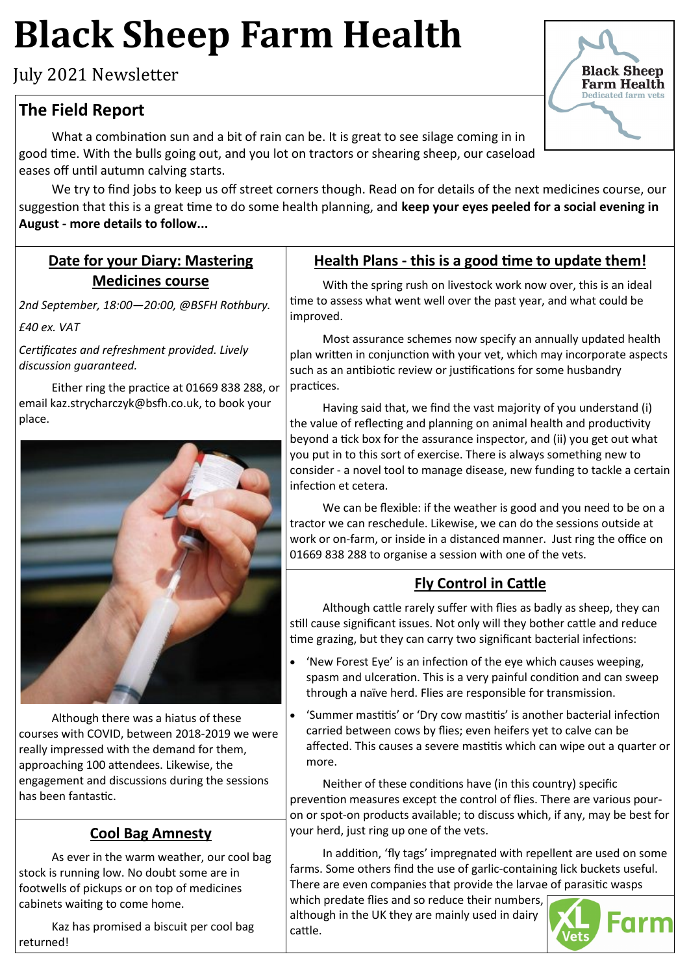# **Black Sheep Farm Health**

July 2021 Newsletter

## **The Field Report**

What a combination sun and a bit of rain can be. It is great to see silage coming in in good time. With the bulls going out, and you lot on tractors or shearing sheep, our caseload eases off until autumn calving starts.

We try to find jobs to keep us off street corners though. Read on for details of the next medicines course, our suggestion that this is a great time to do some health planning, and **keep your eyes peeled for a social evening in August - more details to follow...**

#### **Date for your Diary: Mastering Medicines course**

*2nd September, 18:00—20:00, @BSFH Rothbury. £40 ex. VAT*

*Certificates and refreshment provided. Lively discussion guaranteed.* 

Either ring the practice at 01669 838 288, or email kaz.strycharczyk@bsfh.co.uk, to book your place.



Although there was a hiatus of these courses with COVID, between 2018-2019 we were really impressed with the demand for them, approaching 100 attendees. Likewise, the engagement and discussions during the sessions has been fantastic.

#### **Cool Bag Amnesty**

As ever in the warm weather, our cool bag stock is running low. No doubt some are in footwells of pickups or on top of medicines cabinets waiting to come home.

Kaz has promised a biscuit per cool bag returned!

#### **Health Plans - this is a good time to update them!**

With the spring rush on livestock work now over, this is an ideal time to assess what went well over the past year, and what could be improved.

Most assurance schemes now specify an annually updated health plan written in conjunction with your vet, which may incorporate aspects such as an antibiotic review or justifications for some husbandry practices.

Having said that, we find the vast majority of you understand (i) the value of reflecting and planning on animal health and productivity beyond a tick box for the assurance inspector, and (ii) you get out what you put in to this sort of exercise. There is always something new to consider - a novel tool to manage disease, new funding to tackle a certain infection et cetera.

We can be flexible: if the weather is good and you need to be on a tractor we can reschedule. Likewise, we can do the sessions outside at work or on-farm, or inside in a distanced manner. Just ring the office on 01669 838 288 to organise a session with one of the vets.

### **Fly Control in Cattle**

Although cattle rarely suffer with flies as badly as sheep, they can still cause significant issues. Not only will they bother cattle and reduce time grazing, but they can carry two significant bacterial infections:

- 'New Forest Eye' is an infection of the eye which causes weeping, spasm and ulceration. This is a very painful condition and can sweep through a naïve herd. Flies are responsible for transmission.
- 'Summer mastitis' or 'Dry cow mastitis' is another bacterial infection carried between cows by flies; even heifers yet to calve can be affected. This causes a severe mastitis which can wipe out a quarter or more.

Neither of these conditions have (in this country) specific prevention measures except the control of flies. There are various pouron or spot-on products available; to discuss which, if any, may be best for your herd, just ring up one of the vets.

In addition, 'fly tags' impregnated with repellent are used on some farms. Some others find the use of garlic-containing lick buckets useful. There are even companies that provide the larvae of parasitic wasps

which predate flies and so reduce their numbers, although in the UK they are mainly used in dairy cattle.